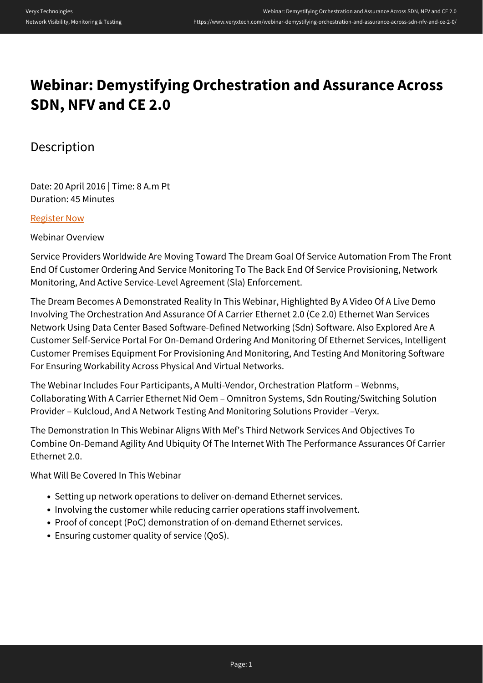## **Webinar: Demystifying Orchestration and Assurance Across SDN, NFV and CE 2.0**

## Description

Date: 20 April 2016 | Time: 8 A.m Pt Duration: 45 Minutes

## [Register Now](https://event.on24.com/wcc/r/1151616/EF7B1E2570CEB8477087CECC05092480?partnerref=Veryx)

Webinar Overview

Service Providers Worldwide Are Moving Toward The Dream Goal Of Service Automation From The Front End Of Customer Ordering And Service Monitoring To The Back End Of Service Provisioning, Network Monitoring, And Active Service-Level Agreement (Sla) Enforcement.

The Dream Becomes A Demonstrated Reality In This Webinar, Highlighted By A Video Of A Live Demo Involving The Orchestration And Assurance Of A Carrier Ethernet 2.0 (Ce 2.0) Ethernet Wan Services Network Using Data Center Based Software-Defined Networking (Sdn) Software. Also Explored Are A Customer Self-Service Portal For On-Demand Ordering And Monitoring Of Ethernet Services, Intelligent Customer Premises Equipment For Provisioning And Monitoring, And Testing And Monitoring Software For Ensuring Workability Across Physical And Virtual Networks.

The Webinar Includes Four Participants, A Multi-Vendor, Orchestration Platform – Webnms, Collaborating With A Carrier Ethernet Nid Oem – Omnitron Systems, Sdn Routing/Switching Solution Provider – Kulcloud, And A Network Testing And Monitoring Solutions Provider –Veryx.

The Demonstration In This Webinar Aligns With Mef's Third Network Services And Objectives To Combine On-Demand Agility And Ubiquity Of The Internet With The Performance Assurances Of Carrier Ethernet 2.0.

What Will Be Covered In This Webinar

- Setting up network operations to deliver on-demand Ethernet services.
- Involving the customer while reducing carrier operations staff involvement.
- Proof of concept (PoC) demonstration of on-demand Ethernet services.
- Ensuring customer quality of service (QoS).